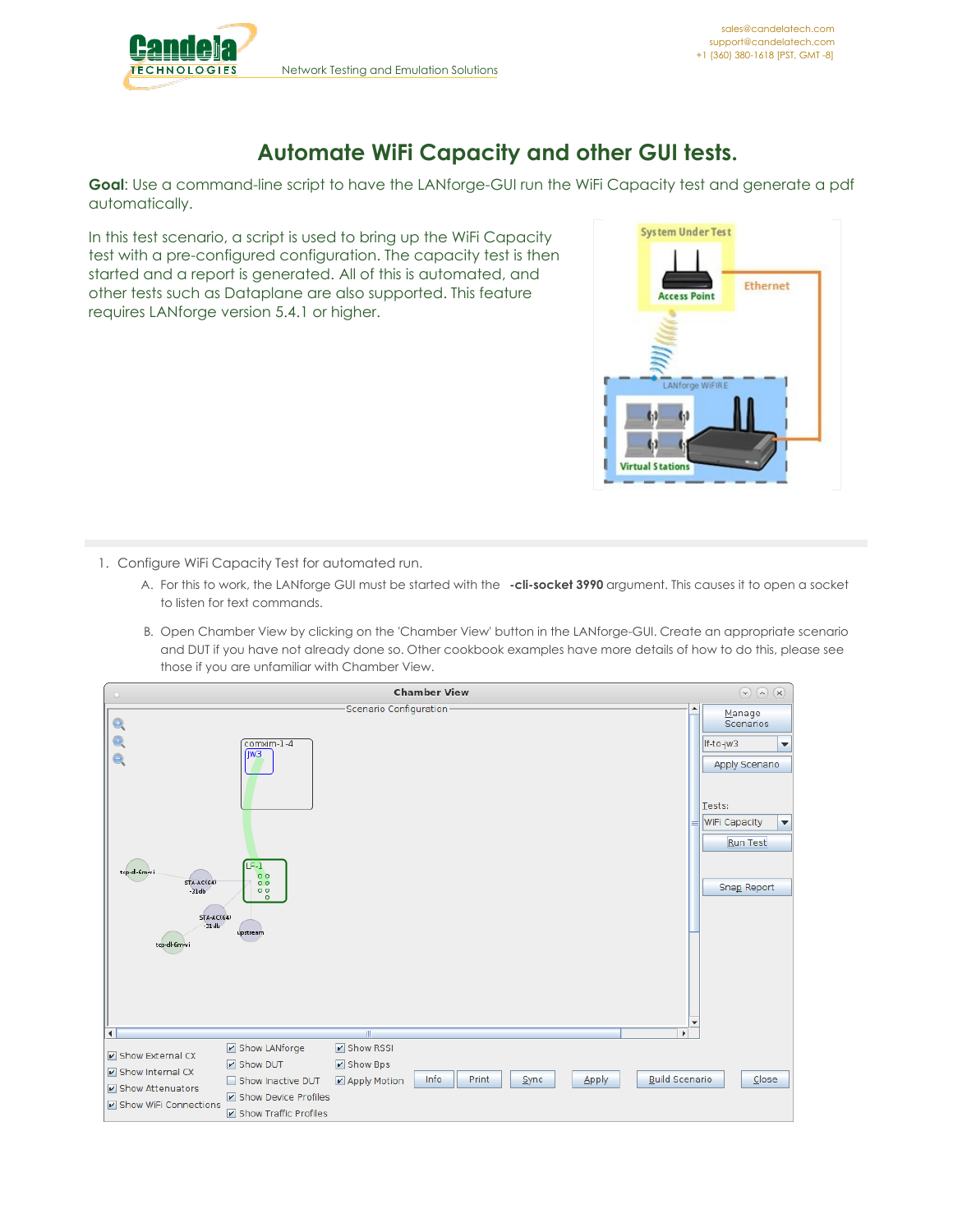

## **Automate WiFi Capacity and other GUI tests.**

**Goal**: Use a command-line script to have the LANforge-GUI run the WiFi Capacity test and generate a pdf automatically.

In this test scenario, a script is used to bring up the WiFi Capacity test with a pre-configured configuration. The capacity test is then started and a report is generated. All of this is automated, and other tests such as Dataplane are also supported. This feature requires LANforge version 5.4.1 or higher.



- 1. Configure WiFi Capacity Test for automated run.
	- A. For this to work, the LANforge GUI must be started with the **-cli-socket 3990** argument. This causes it to open a socket to listen for text commands.
	- B. Open Chamber View by clicking on the 'Chamber View' button in the LANforge-GUI. Create an appropriate scenario and DUT if you have not already done so. Other cookbook examples have more details of how to do this, please see those if you are unfamiliar with Chamber View.

|                                                                                                                                                                                                                              | <b>Chamber View</b>                                                                                         | $\odot$ $\odot$ $\odot$                                                                                                   |
|------------------------------------------------------------------------------------------------------------------------------------------------------------------------------------------------------------------------------|-------------------------------------------------------------------------------------------------------------|---------------------------------------------------------------------------------------------------------------------------|
| comxim-1-4<br>(iw <sub>3</sub><br>$F-1$<br>tcp-dl-6m-vi<br>0 <sub>0</sub><br>$STA-AC(64)$<br>0 <sub>0</sub><br>00<br>$-31db$<br>$\circ$<br><b>STA-AC(64)</b><br>$-31$ db<br>upstream<br>tcp-dl-6m-vi<br>$\blacktriangleleft$ | -Scenario Configuration-<br>$\overline{\phantom{a}}$<br>$\blacktriangleright$<br>$\mathbb{I}$               | Manage<br><b>Scenarios</b><br>If-to-jw3<br>▼<br>Apply Scenario<br>Tests:<br>WiFi Capacity<br>▼<br>Run Test<br>Snap Report |
| Show LANforge<br>Show External CX<br>V Show DUT<br>Show Internal CX<br>Show Inactive DUT<br>Show Attenuators<br>Show Device Profiles<br>Show WiFi Connections<br>Show Traffic Profiles                                       | <b>V</b> Show RSSI<br>Show Bps<br><b>Build Scenario</b><br>Info<br>Print<br>Apply<br>Sync<br>■ Apply Motion | Close                                                                                                                     |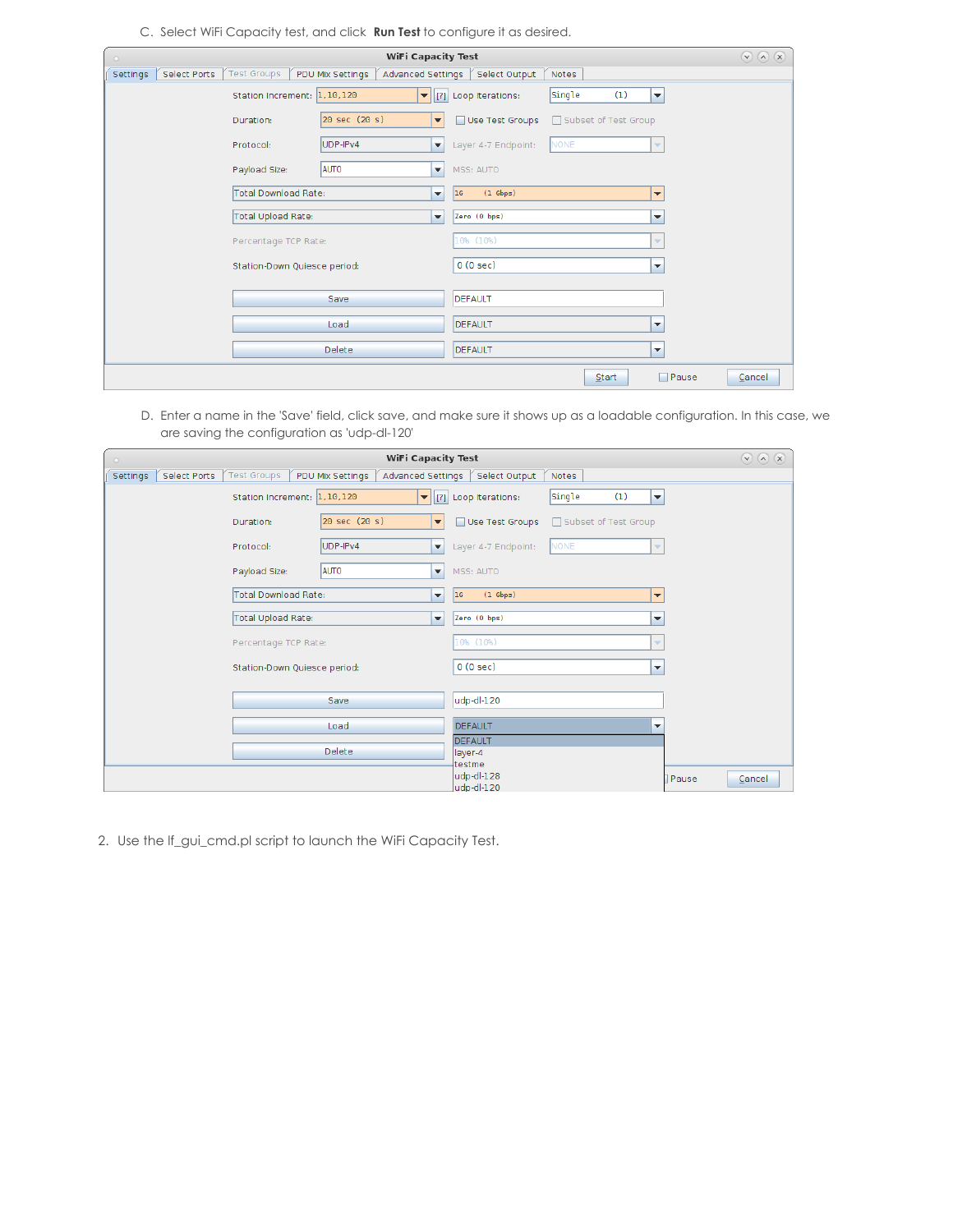C. Select WiFi Capacity test, and click **Run Test** to configure it as desired.

| <b>WiFi Capacity Test</b>       |                                        |                                                                                      |        |  |
|---------------------------------|----------------------------------------|--------------------------------------------------------------------------------------|--------|--|
| <b>Select Ports</b><br>Settings | <b>Test Groups</b><br>PDU Mix Settings | Advanced Settings<br>Select Output<br><b>Notes</b>                                   |        |  |
|                                 | Station Increment: 1,10,120            | Single<br>(1)<br>$\blacktriangledown$   [?] Loop Iterations:<br>$\blacktriangledown$ |        |  |
|                                 | 20 sec (20 s)<br>Duration:             | Use Test Groups<br>Subset of Test Group<br>$\overline{\phantom{a}}$                  |        |  |
|                                 | UDP-IPv4<br>Protocol:                  | NONE<br>Layer 4-7 Endpoint:<br>$\blacktriangledown$<br>$\overline{\mathbf{v}}$       |        |  |
|                                 | <b>AUTO</b><br>Payload Size:           | MSS: AUTO<br>▼                                                                       |        |  |
|                                 | Total Download Rate:                   | $(1$ Gbps)<br>16<br>۰<br>$\overline{\phantom{a}}$                                    |        |  |
|                                 | Total Upload Rate:                     | Zero (0 bps)<br>$\overline{\phantom{a}}$<br>$\overline{\phantom{a}}$                 |        |  |
|                                 | Percentage TCP Rate:                   | 10% (10%)<br>$\overline{\phantom{a}}$                                                |        |  |
|                                 | Station-Down Quiesce period:           | 0(0 sec)<br>$\overline{\phantom{a}}$                                                 |        |  |
|                                 | Save                                   | DEFAULT                                                                              |        |  |
|                                 | Load                                   | DEFAULT<br>$\overline{\phantom{a}}$                                                  |        |  |
|                                 | Delete                                 | DEFAULT<br>▼                                                                         |        |  |
|                                 |                                        | Pause<br>Start                                                                       | Cancel |  |

D. Enter a name in the 'Save' field, click save, and make sure it shows up as a loadable configuration. In this case, we are saving the configuration as 'udp-dl-120'

| <b>WiFi Capacity Test</b><br>$\circ$ |                              |                      |                          |                                              |                                         | $\textcircled{1}\textcircled{2} \textcircled{3}$ |        |
|--------------------------------------|------------------------------|----------------------|--------------------------|----------------------------------------------|-----------------------------------------|--------------------------------------------------|--------|
| Select Ports<br>Settings             | <b>Test Groups</b>           | PDU Mix Settings     |                          | Advanced Settings Select Output              | Notes                                   |                                                  |        |
|                                      | Station Increment: 1,10,120  |                      |                          | $\blacktriangleright$   [?] Loop Iterations: | Single<br>(1)<br>$\blacktriangledown$   |                                                  |        |
|                                      | Duration:                    | 20 sec (20 s)        | $\overline{\phantom{a}}$ | Use Test Groups                              | Subset of Test Group                    |                                                  |        |
|                                      | Protocol:                    | UDP-IPv4             | $\overline{\phantom{a}}$ | Layer 4-7 Endpoint:                          | <b>NONE</b><br>$\overline{\phantom{a}}$ |                                                  |        |
|                                      | Payload Size:                | <b>AUTO</b>          | ▼                        | MSS: AUTO                                    |                                         |                                                  |        |
|                                      | Total Download Rate:         |                      | ▼                        | $(1$ Gbps)<br>16                             | $\blacktriangledown$                    |                                                  |        |
|                                      | Total Upload Rate:           |                      | ▼                        | Zero (0 bps)                                 | ▼                                       |                                                  |        |
|                                      |                              | Percentage TCP Rate: |                          | 10% (10%)                                    | $\overline{\phantom{a}}$                |                                                  |        |
|                                      | Station-Down Quiesce period: |                      | 0(0 sec)                 | $\overline{\phantom{a}}$                     |                                         |                                                  |        |
|                                      |                              | Save                 |                          | udp-dl-120                                   |                                         |                                                  |        |
|                                      |                              | Load                 |                          | <b>DEFAULT</b>                               | $\overline{\phantom{a}}$                |                                                  |        |
|                                      |                              | Delete               |                          | DEFAULT<br>layer-4                           |                                         |                                                  |        |
|                                      |                              |                      |                          | testme<br>udp-dl-128<br>udp-dl-120           |                                         | Pause                                            | Cancel |

2. Use the lf\_gui\_cmd.pl script to launch the WiFi Capacity Test.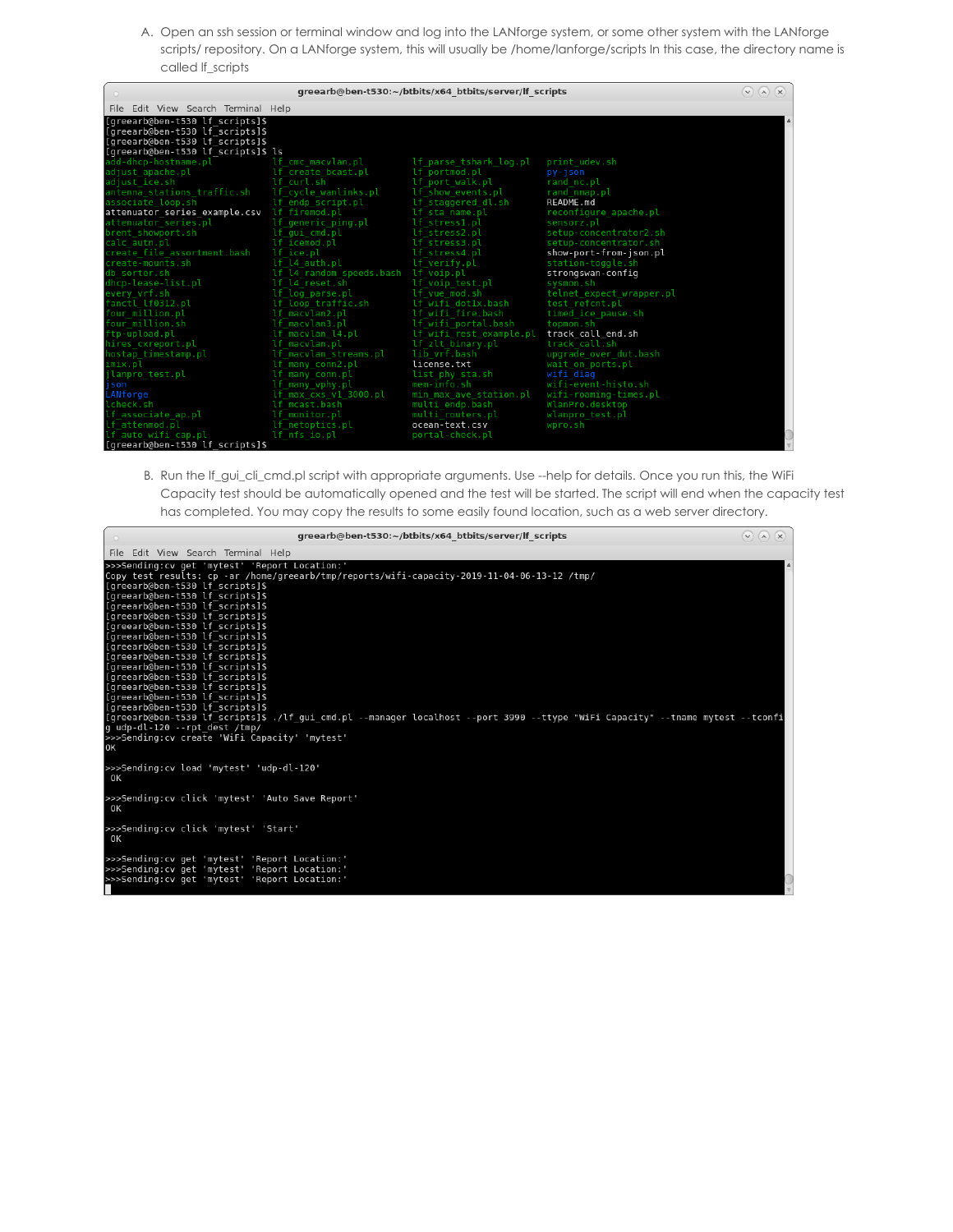A. Open an ssh session or terminal window and log into the LANforge system, or some other system with the LANforge scripts/ repository. On a LANforge system, this will usually be /home/lanforge/scripts In this case, the directory name is called lf\_scripts

| greearb@ben-t530:~/btbits/x64 btbits/server/lf scripts                                                                                      |                                          |                         |                          |  |  |
|---------------------------------------------------------------------------------------------------------------------------------------------|------------------------------------------|-------------------------|--------------------------|--|--|
| File Edit View Search Terminal Help                                                                                                         |                                          |                         |                          |  |  |
| [greearb@ben-t530 lf scripts]\$<br>[greearb@ben-t530 lf_scripts]\$<br>[greearb@ben-t530 lf_scripts]\$<br>[greearb@ben-t530 lf scripts]\$ ls |                                          |                         |                          |  |  |
| add-dhcp-hostname.pl band of the macylan.pl                                                                                                 |                                          | lf parse tshark log.pl  | print udev.sh            |  |  |
| adjust apache.pl                                                                                                                            | lf create bcast.pl                       | lf portmod.pl           | py-json                  |  |  |
| adjust ice.sh                                                                                                                               | lf curl.sh                               | lf port walk.pl         | rand nc.pl               |  |  |
|                                                                                                                                             |                                          | lf show events.pl       | rand nmap.pl             |  |  |
| associate loop.sh                                                                                                                           | lf endp script.pl                        | lf staggered dl.sh      | README.md                |  |  |
| attenuator_series_example.csv lf_firemod.pl                                                                                                 |                                          | lf sta name.pl          | reconfigure apache.pl    |  |  |
| attenuator_series.pl       lf_generic_ping.pl                                                                                               |                                          | lf stress1.pl           | sensorz.pl               |  |  |
| brent showport.sh                                                                                                                           | lf qui cmd.pl                            | lf stress2.pl           | setup-concentrator2.sh   |  |  |
| calc autn.pl                                                                                                                                | lf icemod.pl                             | lf stress3.pl           | setup-concentrator.sh    |  |  |
| create file assortment.bash                                                                                                                 | lf ice.pl                                | lf stress4.pl           | show-port-from-json.pl   |  |  |
| create-mounts.sh                                                                                                                            | lf l4 auth.pl                            | lf verify.pl            | station-toggle.sh        |  |  |
| db sorter.sh                                                                                                                                | lf l4 random speeds.bash lf voip.pl      |                         | strongswan-config        |  |  |
| dhcp-lease-list.pl                                                                                                                          | lf l4 reset.sh    If voip test.pl        |                         | sysmon.sh                |  |  |
| every vrf.sh                                                                                                                                | lf log parse.pl                          | lf vue mod.sh           | telnet expect wrapper.pl |  |  |
| fanctl lf0312.pl                                                                                                                            | lf loop traffic.sh    If wifi dotlx.bash |                         | test refcnt.pl           |  |  |
| four million.pl                                                                                                                             | lf macvlan2.pl                           | lf wifi fire.bash       | timed ice pause.sh       |  |  |
| four million.sh                                                                                                                             | lf macvlan3.pl                           | lf wifi portal.bash     | topmon.sh                |  |  |
| ftp-upload.pl                                                                                                                               | lf macvlan l4.pl                         | lf wifi rest example.pl | track call end.sh        |  |  |
| hires cxreport.pl                                                                                                                           | lf macvlan.pl                            | lf zlt binary.pl        | track call.sh            |  |  |
| hostap timestamp.pl                                                                                                                         | lf macylan streams.pl                    | lib vrf.bash            | upgrade over dut.bash    |  |  |
| imix.pl                                                                                                                                     | lf many conn2.pl                         | license.txt             | wait on ports.pl         |  |  |
| ilanpro test.pl                                                                                                                             | lf many conn.pl                          | list phy sta.sh         | wifi diag                |  |  |
| json                                                                                                                                        | lf many vphy.pl                          | mem-info.sh             | wifi-event-histo.sh      |  |  |
| LANforge                                                                                                                                    | lf max cxs v1 3000.pl                    | min max ave station.pl  | wifi-roaming-times.pl    |  |  |
| lcheck.sh                                                                                                                                   | lf mcast.bash                            | multi endp.bash         | WlanPro.desktop          |  |  |
| lf associate_ap.pl                                                                                                                          | lf monitor.pl                            | multi routers.pl        | wlanpro test.pl          |  |  |
| lf <sup>attenmod.pl</sup>                                                                                                                   | lf netoptics.pl                          | ocean-text.csv          | wpro.sh                  |  |  |
| lf_auto_wifi_cap.pl<br>[greearb@ben-t530 lf scripts]\$                                                                                      | lf nfs io.pl                             | portal-check.pl         |                          |  |  |
|                                                                                                                                             |                                          |                         |                          |  |  |

B. Run the lf\_gui\_cli\_cmd.pl script with appropriate arguments. Use --help for details. Once you run this, the WiFi Capacity test should be automatically opened and the test will be started. The script will end when the capacity test has completed. You may copy the results to some easily found location, such as a web server directory.

| greearb@ben-t530:~/btbits/x64 btbits/server/lf scripts                                                                                                                                                                                                                                                                                                                                                                                                                                                                                                                                                                                                                                                                                                                                                                                         | $(\wedge)$ $(\times)$<br>$\checkmark$ |
|------------------------------------------------------------------------------------------------------------------------------------------------------------------------------------------------------------------------------------------------------------------------------------------------------------------------------------------------------------------------------------------------------------------------------------------------------------------------------------------------------------------------------------------------------------------------------------------------------------------------------------------------------------------------------------------------------------------------------------------------------------------------------------------------------------------------------------------------|---------------------------------------|
| File Edit View Search Terminal Help                                                                                                                                                                                                                                                                                                                                                                                                                                                                                                                                                                                                                                                                                                                                                                                                            |                                       |
| >>>Sending:cv get 'mytest' 'Report Location:'<br>Copy test results: cp -ar /home/greearb/tmp/reports/wifi-capacity-2019-11-04-06-13-12 /tmp/<br>[greearb@ben-t530 lf scripts]\$<br>[greearb@ben-t530 lf scripts]\$<br>[greearb@ben-t530 lf_scripts]\$<br>[greearb@ben-t530 lf scripts]\$<br>[greearb@ben-t530 lf scripts]\$<br>[greearb@ben-t530 lf scripts]\$<br>[greearb@ben-t530 lf scripts]\$<br>[greearb@ben-t530 lf scripts]\$<br>[greearb@ben-t530 lf scripts]\$<br>[greearb@ben-t530 lf scripts]\$<br>[greearb@ben-t530 lf_scripts]\$<br>[greearb@ben-t530 lf_scripts]\$<br>[greearb@ben-t530 lf_scripts]\$<br>[greearb@ben-t530 lf_scripts]\$./lf_gui_cmd.pl --manager localhost --port 3990 --ttype "WiFi Capacity" --tname mytest --tconfi]<br>g udp-dl-120 --rpt dest /tmp/<br>>>>Sending:cv create 'WiFi Capacity' 'mytest'<br>0K |                                       |
| >>>Sending:cv load 'mytest' 'udp-dl-120'<br>OΚ                                                                                                                                                                                                                                                                                                                                                                                                                                                                                                                                                                                                                                                                                                                                                                                                 |                                       |
| >>>Sending:cv click 'mytest' 'Auto Save Report'<br>OΚ                                                                                                                                                                                                                                                                                                                                                                                                                                                                                                                                                                                                                                                                                                                                                                                          |                                       |
| >>>Sending:cv click 'mytest' 'Start'<br>OΚ                                                                                                                                                                                                                                                                                                                                                                                                                                                                                                                                                                                                                                                                                                                                                                                                     |                                       |
| >>>Sending:cv get 'mytest' 'Report Location:'<br>>>>Sending:cv get 'mytest' 'Report Location:'<br>>>>Sending:cv get 'mytest' 'Report Location:'                                                                                                                                                                                                                                                                                                                                                                                                                                                                                                                                                                                                                                                                                                |                                       |